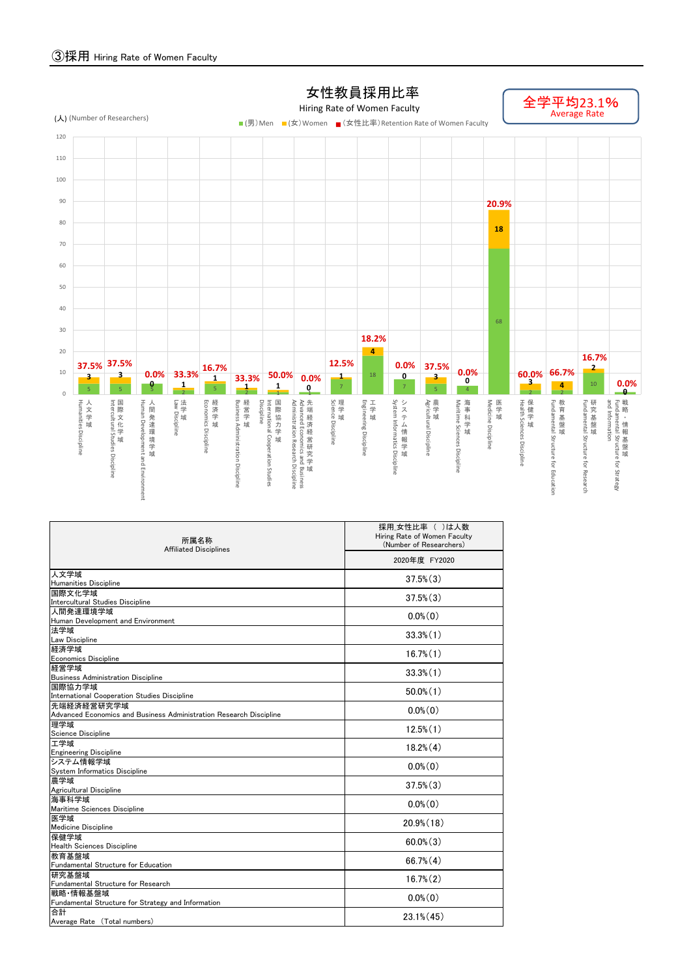## ③採用 Hiring Rate of Women Faculty

| 所属名称<br><b>Affiliated Disciplines</b>                              | 採用_女性比率 ( )は人数<br>Hiring Rate of Women Faculty<br>(Number of Researchers)<br>2020年度 FY2020 |  |  |  |  |  |  |
|--------------------------------------------------------------------|--------------------------------------------------------------------------------------------|--|--|--|--|--|--|
|                                                                    |                                                                                            |  |  |  |  |  |  |
| 人文学域                                                               | $37.5\%$ $(3)$                                                                             |  |  |  |  |  |  |
| <b>Humanities Discipline</b>                                       |                                                                                            |  |  |  |  |  |  |
| 国際文化学域<br>Intercultural Studies Discipline                         | $37.5\%$ $(3)$                                                                             |  |  |  |  |  |  |
| 人間発達環境学域                                                           |                                                                                            |  |  |  |  |  |  |
| Human Development and Environment                                  | $0.0\%$ $(0)$                                                                              |  |  |  |  |  |  |
| 法学域                                                                |                                                                                            |  |  |  |  |  |  |
| Law Discipline                                                     | $33.3\%$ $(1)$                                                                             |  |  |  |  |  |  |
| 経済学域<br><b>Economics Discipline</b>                                | $16.7\%$ $(1)$                                                                             |  |  |  |  |  |  |
| 経営学域                                                               |                                                                                            |  |  |  |  |  |  |
| <b>Business Administration Discipline</b>                          | $33.3\%$ $(1)$                                                                             |  |  |  |  |  |  |
| 国際協力学域                                                             |                                                                                            |  |  |  |  |  |  |
| International Cooperation Studies Discipline                       | $50.0\%$ (1)                                                                               |  |  |  |  |  |  |
| 先端経済経営研究学域                                                         | $0.0\%$ $(0)$                                                                              |  |  |  |  |  |  |
| Advanced Economics and Business Administration Research Discipline |                                                                                            |  |  |  |  |  |  |
| 理学域                                                                | $12.5\%$ $(1)$                                                                             |  |  |  |  |  |  |
| Science Discipline<br>工学域                                          |                                                                                            |  |  |  |  |  |  |
| <b>Engineering Discipline</b>                                      | $18.2\%$ $(4)$                                                                             |  |  |  |  |  |  |
| システム情報学域                                                           |                                                                                            |  |  |  |  |  |  |
| System Informatics Discipline                                      | $0.0\%$ $(0)$                                                                              |  |  |  |  |  |  |
| 農学域                                                                | $37.5\%$ $(3)$                                                                             |  |  |  |  |  |  |
| Agricultural Discipline<br>海事科学域                                   |                                                                                            |  |  |  |  |  |  |
| Maritime Sciences Discipline                                       | $0.0\%$ $(0)$                                                                              |  |  |  |  |  |  |
| 医学域                                                                |                                                                                            |  |  |  |  |  |  |
| <b>Medicine Discipline</b>                                         | $20.9\%$ (18)                                                                              |  |  |  |  |  |  |
| 保健学域                                                               | $60.0\%$ $(3)$                                                                             |  |  |  |  |  |  |
| <b>Health Sciences Discipline</b>                                  |                                                                                            |  |  |  |  |  |  |
| 教育基盤域<br>Fundamental Structure for Education                       | $66.7\%$ $(4)$                                                                             |  |  |  |  |  |  |
| 研究基盤域                                                              |                                                                                            |  |  |  |  |  |  |
| <b>Fundamental Structure for Research</b>                          | $16.7\%$ $(2)$                                                                             |  |  |  |  |  |  |
| 戦略・情報基盤域                                                           |                                                                                            |  |  |  |  |  |  |
| Fundamental Structure for Strategy and Information                 | $0.0\%$ $(0)$                                                                              |  |  |  |  |  |  |
| 合計                                                                 | $23.1\%$ (45)                                                                              |  |  |  |  |  |  |
| Average Rate (Total numbers)                                       |                                                                                            |  |  |  |  |  |  |

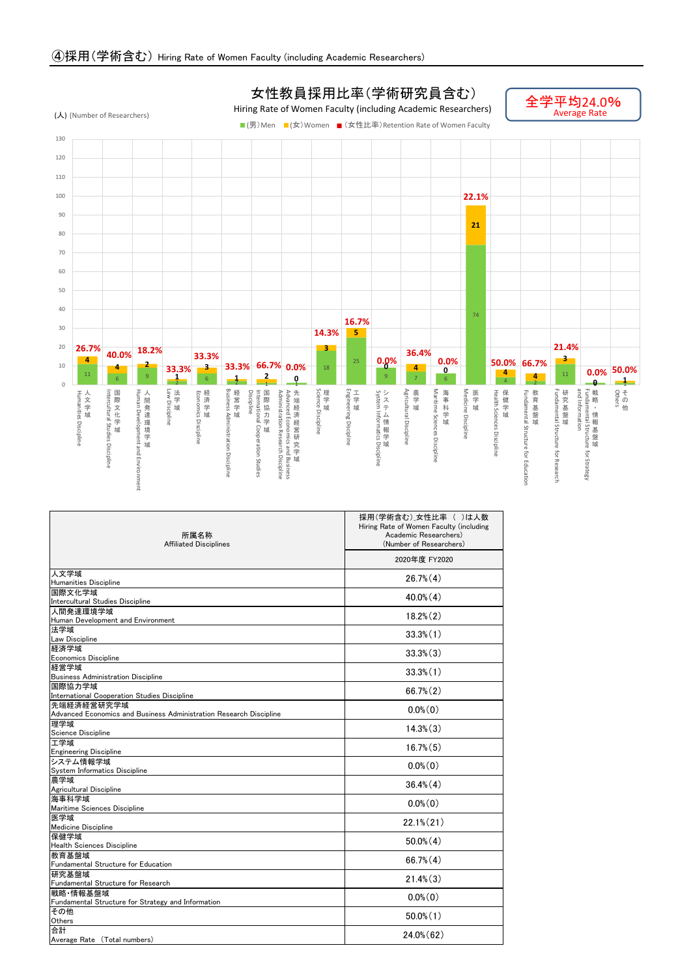法学域

| 所属名称<br><b>Affiliated Disciplines</b> | 採用(学術含む)_女性比率 ( )は人数<br>Hiring Rate of Women Faculty (including<br>Academic Researchers)<br>(Number of Researchers) |
|---------------------------------------|---------------------------------------------------------------------------------------------------------------------|
|                                       | 2020年度 FY2020                                                                                                       |
| 人文学域                                  | $26.7\%$ $(4)$                                                                                                      |
| <b>Humanities Discipline</b>          |                                                                                                                     |
| 国際文化学域                                | $40.0\%$ $(4)$                                                                                                      |
| Intercultural Studies Discipline      |                                                                                                                     |
| 人間発達環境学域                              | $18.2\%$ $(2)$                                                                                                      |
| Human Development and Environment     |                                                                                                                     |

| 冮千以                                                                | $33.3\%$ $(1)$ |
|--------------------------------------------------------------------|----------------|
| <b>Law Discipline</b>                                              |                |
| 経済学域<br><b>Economics Discipline</b>                                | $33.3\%$ $(3)$ |
| 経営学域                                                               |                |
| <b>Business Administration Discipline</b>                          | $33.3\%$ $(1)$ |
| 国際協力学域                                                             |                |
| International Cooperation Studies Discipline                       | $66.7\% (2)$   |
| 先端経済経営研究学域                                                         | $0.0\%$ $(0)$  |
| Advanced Economics and Business Administration Research Discipline |                |
| 理学域                                                                | $14.3\%$ $(3)$ |
| Science Discipline                                                 |                |
| 工学域                                                                | $16.7\%$ $(5)$ |
| <b>Engineering Discipline</b>                                      |                |
| システム情報学域                                                           | $0.0\%$ $(0)$  |
| System Informatics Discipline                                      |                |
| 農学域                                                                | $36.4\%$ $(4)$ |
| Agricultural Discipline                                            |                |
| 海事科学域                                                              | $0.0\%$ $(0)$  |
| Maritime Sciences Discipline                                       |                |
| 医学域                                                                | $22.1\% (21)$  |
| <b>Medicine Discipline</b>                                         |                |
| 保健学域<br><b>Health Sciences Discipline</b>                          | $50.0\%$ $(4)$ |
| 教育基盤域                                                              |                |
| <b>Fundamental Structure for Education</b>                         | $66.7\%$ $(4)$ |
| 研究基盤域                                                              |                |
| <b>Fundamental Structure for Research</b>                          | $21.4\%$ $(3)$ |
| 戦略・情報基盤域                                                           |                |
| Fundamental Structure for Strategy and Information                 | $0.0\%$ $(0)$  |
| その他                                                                |                |
| Others                                                             | $50.0\%$ (1)   |
| 台計                                                                 | $24.0\%$ (62)  |
| Average Rate (Total numbers)                                       |                |